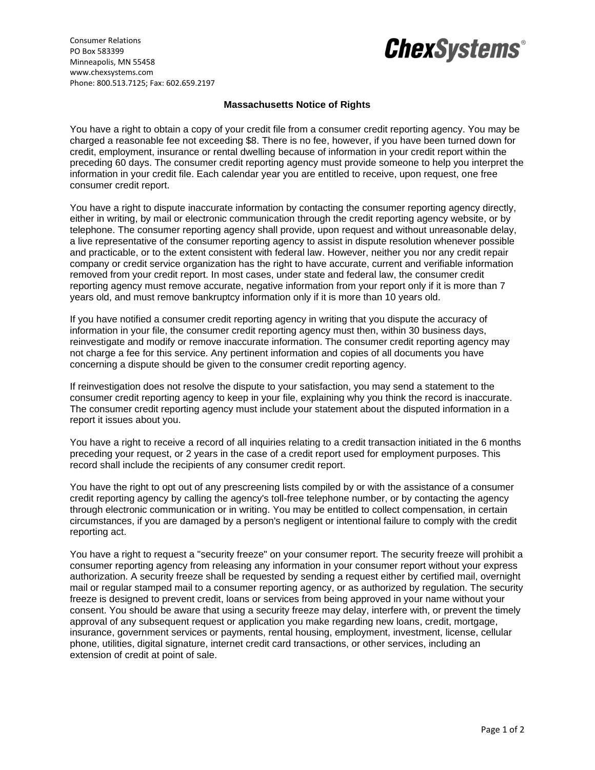

Consumer Relations PO Box 583399 Minneapolis, MN 55458 www.chexsystems.com Phone: 800.513.7125; Fax: 602.659.2197

## **Massachusetts Notice of Rights**

You have a right to obtain a copy of your credit file from a consumer credit reporting agency. You may be charged a reasonable fee not exceeding \$8. There is no fee, however, if you have been turned down for credit, employment, insurance or rental dwelling because of information in your credit report within the preceding 60 days. The consumer credit reporting agency must provide someone to help you interpret the information in your credit file. Each calendar year you are entitled to receive, upon request, one free consumer credit report.

You have a right to dispute inaccurate information by contacting the consumer reporting agency directly, either in writing, by mail or electronic communication through the credit reporting agency website, or by telephone. The consumer reporting agency shall provide, upon request and without unreasonable delay, a live representative of the consumer reporting agency to assist in dispute resolution whenever possible and practicable, or to the extent consistent with federal law. However, neither you nor any credit repair company or credit service organization has the right to have accurate, current and verifiable information removed from your credit report. In most cases, under state and federal law, the consumer credit reporting agency must remove accurate, negative information from your report only if it is more than 7 years old, and must remove bankruptcy information only if it is more than 10 years old.

If you have notified a consumer credit reporting agency in writing that you dispute the accuracy of information in your file, the consumer credit reporting agency must then, within 30 business days, reinvestigate and modify or remove inaccurate information. The consumer credit reporting agency may not charge a fee for this service. Any pertinent information and copies of all documents you have concerning a dispute should be given to the consumer credit reporting agency.

If reinvestigation does not resolve the dispute to your satisfaction, you may send a statement to the consumer credit reporting agency to keep in your file, explaining why you think the record is inaccurate. The consumer credit reporting agency must include your statement about the disputed information in a report it issues about you.

You have a right to receive a record of all inquiries relating to a credit transaction initiated in the 6 months preceding your request, or 2 years in the case of a credit report used for employment purposes. This record shall include the recipients of any consumer credit report.

You have the right to opt out of any prescreening lists compiled by or with the assistance of a consumer credit reporting agency by calling the agency's toll-free telephone number, or by contacting the agency through electronic communication or in writing. You may be entitled to collect compensation, in certain circumstances, if you are damaged by a person's negligent or intentional failure to comply with the credit reporting act.

You have a right to request a "security freeze" on your consumer report. The security freeze will prohibit a consumer reporting agency from releasing any information in your consumer report without your express authorization. A security freeze shall be requested by sending a request either by certified mail, overnight mail or regular stamped mail to a consumer reporting agency, or as authorized by regulation. The security freeze is designed to prevent credit, loans or services from being approved in your name without your consent. You should be aware that using a security freeze may delay, interfere with, or prevent the timely approval of any subsequent request or application you make regarding new loans, credit, mortgage, insurance, government services or payments, rental housing, employment, investment, license, cellular phone, utilities, digital signature, internet credit card transactions, or other services, including an extension of credit at point of sale.